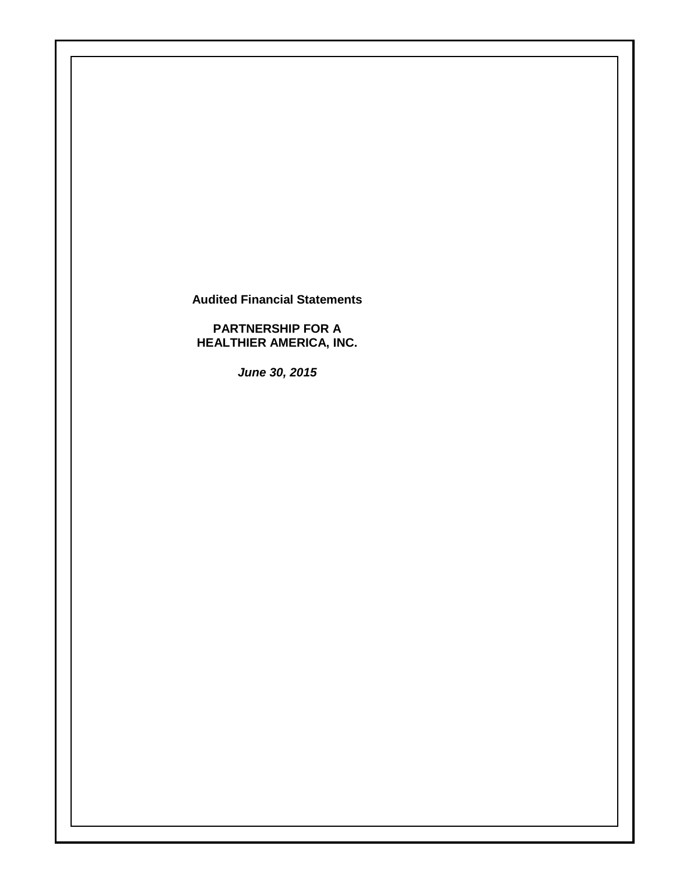**Audited Financial Statements**

**PARTNERSHIP FOR A HEALTHIER AMERICA, INC.**

*June 30, 2015*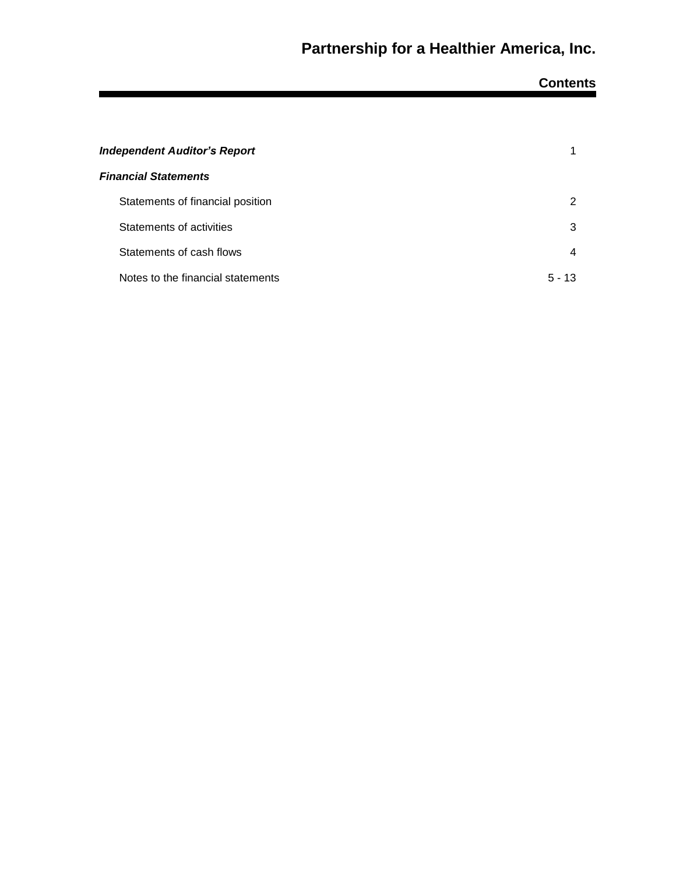# **Contents**

| <b>Independent Auditor's Report</b> |        |
|-------------------------------------|--------|
| <b>Financial Statements</b>         |        |
| Statements of financial position    | 2      |
| Statements of activities            | 3      |
| Statements of cash flows            | 4      |
| Notes to the financial statements   | 5 - 13 |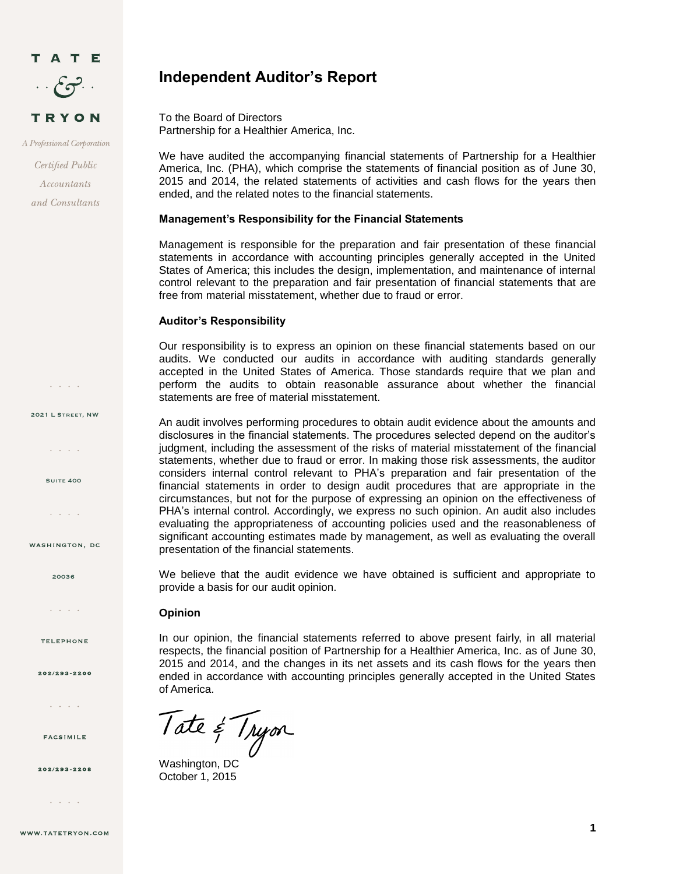

A Professional Corporation

Certified Public Accountants and Consultants

 $\mathcal{L} = \mathcal{L} \times \mathcal{L} \times \mathcal{L}$ 

2021 L Street, NW

 $\omega$  . The second second  $\omega$ 

**SUITE 400** 

and a state

WASHINGTON, DC

20036

 $\mathbf{r} = \mathbf{r} - \mathbf{r}$  .  $\mathbf{r}$ 

**TELEPHONE** 

202/293-2200

 $\mathcal{L}^{\mathcal{A}}$  ,  $\mathcal{L}^{\mathcal{A}}$  ,  $\mathcal{L}^{\mathcal{A}}$  ,  $\mathcal{L}^{\mathcal{A}}$ 

**FACSIMILE** 

202/293-2208

and a state

## **Independent Auditor's Report**

To the Board of Directors Partnership for a Healthier America, Inc.

We have audited the accompanying financial statements of Partnership for a Healthier America, Inc. (PHA), which comprise the statements of financial position as of June 30, 2015 and 2014, the related statements of activities and cash flows for the years then ended, and the related notes to the financial statements.

#### **Management's Responsibility for the Financial Statements**

Management is responsible for the preparation and fair presentation of these financial statements in accordance with accounting principles generally accepted in the United States of America; this includes the design, implementation, and maintenance of internal control relevant to the preparation and fair presentation of financial statements that are free from material misstatement, whether due to fraud or error.

#### **Auditor's Responsibility**

Our responsibility is to express an opinion on these financial statements based on our audits. We conducted our audits in accordance with auditing standards generally accepted in the United States of America. Those standards require that we plan and perform the audits to obtain reasonable assurance about whether the financial statements are free of material misstatement.

An audit involves performing procedures to obtain audit evidence about the amounts and disclosures in the financial statements. The procedures selected depend on the auditor's judgment, including the assessment of the risks of material misstatement of the financial statements, whether due to fraud or error. In making those risk assessments, the auditor considers internal control relevant to PHA's preparation and fair presentation of the financial statements in order to design audit procedures that are appropriate in the circumstances, but not for the purpose of expressing an opinion on the effectiveness of PHA's internal control. Accordingly, we express no such opinion. An audit also includes evaluating the appropriateness of accounting policies used and the reasonableness of significant accounting estimates made by management, as well as evaluating the overall presentation of the financial statements.

We believe that the audit evidence we have obtained is sufficient and appropriate to provide a basis for our audit opinion.

#### **Opinion**

In our opinion, the financial statements referred to above present fairly, in all material respects, the financial position of Partnership for a Healthier America, Inc. as of June 30, 2015 and 2014, and the changes in its net assets and its cash flows for the years then ended in accordance with accounting principles generally accepted in the United States of America.

Tate & Tryon

Washington, DC October 1, 2015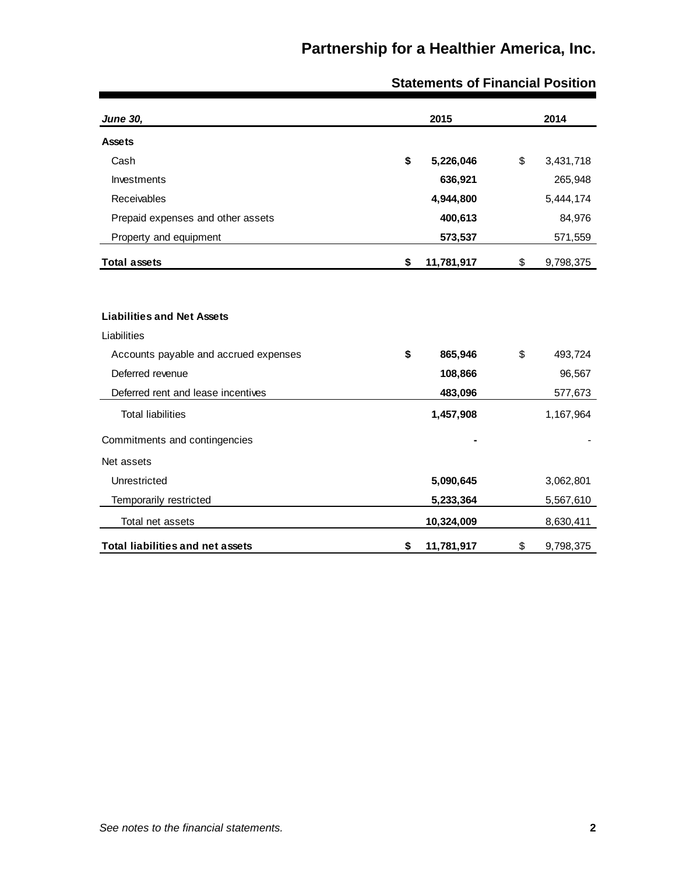| <b>June 30,</b>                         | 2015             | 2014            |
|-----------------------------------------|------------------|-----------------|
| <b>Assets</b>                           |                  |                 |
| Cash                                    | \$<br>5,226,046  | \$<br>3,431,718 |
| Investments                             | 636,921          | 265,948         |
| Receivables                             | 4,944,800        | 5,444,174       |
| Prepaid expenses and other assets       | 400,613          | 84,976          |
| Property and equipment                  | 573,537          | 571,559         |
| <b>Total assets</b>                     | \$<br>11,781,917 | \$<br>9,798,375 |
|                                         |                  |                 |
| <b>Liabilities and Net Assets</b>       |                  |                 |
| Liabilities                             |                  |                 |
| Accounts payable and accrued expenses   | \$<br>865,946    | \$<br>493,724   |
| Deferred revenue                        | 108,866          | 96,567          |
| Deferred rent and lease incentives      | 483,096          | 577,673         |
| <b>Total liabilities</b>                | 1,457,908        | 1,167,964       |
| Commitments and contingencies           |                  |                 |
| Net assets                              |                  |                 |
| Unrestricted                            | 5,090,645        | 3,062,801       |
| Temporarily restricted                  | 5,233,364        | 5,567,610       |
| Total net assets                        | 10,324,009       | 8,630,411       |
| <b>Total liabilities and net assets</b> | \$<br>11,781,917 | \$<br>9,798,375 |

## **Statements of Financial Position**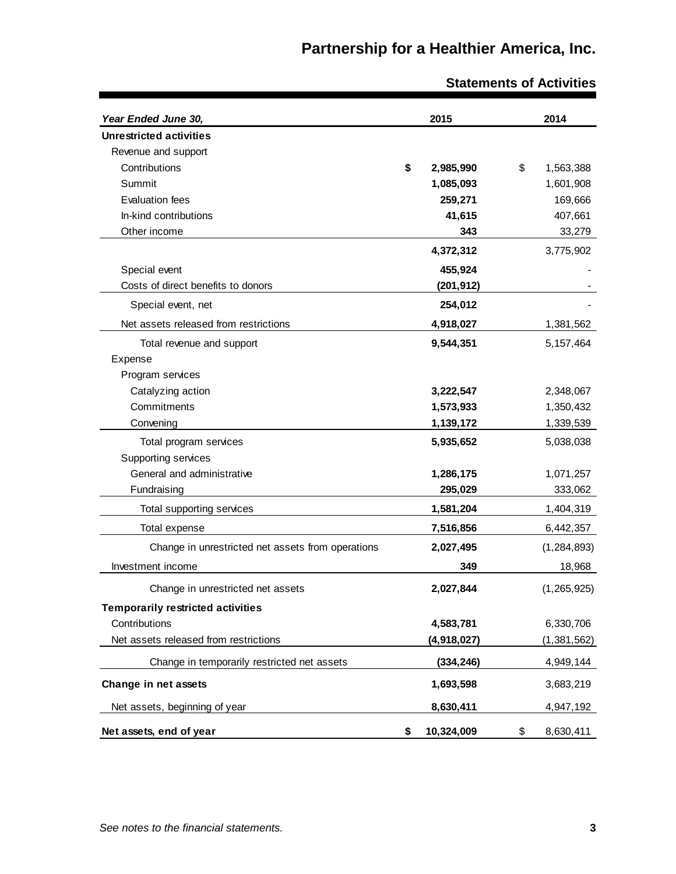| Year Ended June 30,                               | 2015             | 2014            |
|---------------------------------------------------|------------------|-----------------|
| <b>Unrestricted activities</b>                    |                  |                 |
| Revenue and support                               |                  |                 |
| Contributions                                     | \$<br>2,985,990  | \$<br>1,563,388 |
| Summit                                            | 1,085,093        | 1,601,908       |
| <b>Evaluation fees</b>                            | 259,271          | 169,666         |
| In-kind contributions                             | 41,615           | 407,661         |
| Other income                                      | 343              | 33,279          |
|                                                   | 4,372,312        | 3,775,902       |
| Special event                                     | 455,924          |                 |
| Costs of direct benefits to donors                | (201, 912)       |                 |
| Special event, net                                | 254,012          |                 |
| Net assets released from restrictions             | 4,918,027        | 1,381,562       |
| Total revenue and support                         | 9,544,351        | 5, 157, 464     |
| Expense                                           |                  |                 |
| Program services                                  |                  |                 |
| Catalyzing action                                 | 3,222,547        | 2,348,067       |
| Commitments                                       | 1,573,933        | 1,350,432       |
| Convening                                         | 1,139,172        | 1,339,539       |
| Total program services                            | 5,935,652        | 5,038,038       |
| Supporting services                               |                  |                 |
| General and administrative                        | 1,286,175        | 1,071,257       |
| Fundraising                                       | 295,029          | 333,062         |
| Total supporting services                         | 1,581,204        | 1,404,319       |
| Total expense                                     | 7,516,856        | 6,442,357       |
| Change in unrestricted net assets from operations | 2,027,495        | (1, 284, 893)   |
| Investment income                                 | 349              | 18,968          |
| Change in unrestricted net assets                 | 2,027,844        | (1, 265, 925)   |
| <b>Temporarily restricted activities</b>          |                  |                 |
| Contributions                                     | 4,583,781        | 6,330,706       |
| Net assets released from restrictions             | (4,918,027)      | (1, 381, 562)   |
| Change in temporarily restricted net assets       | (334, 246)       | 4,949,144       |
| Change in net assets                              | 1,693,598        | 3,683,219       |
| Net assets, beginning of year                     | 8,630,411        | 4,947,192       |
| Net assets, end of year                           | \$<br>10,324,009 | \$<br>8,630,411 |

## **Statements of Activities**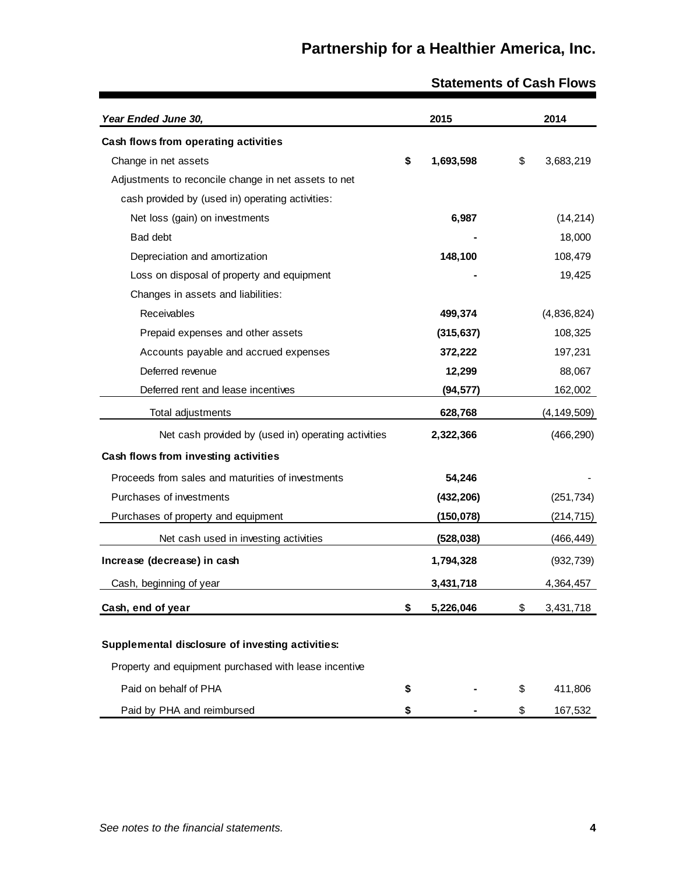| Year Ended June 30,                                   | 2015            | 2014            |
|-------------------------------------------------------|-----------------|-----------------|
| Cash flows from operating activities                  |                 |                 |
| Change in net assets                                  | \$<br>1,693,598 | \$<br>3,683,219 |
| Adjustments to reconcile change in net assets to net  |                 |                 |
| cash provided by (used in) operating activities:      |                 |                 |
| Net loss (gain) on investments                        | 6,987           | (14, 214)       |
| Bad debt                                              |                 | 18,000          |
| Depreciation and amortization                         | 148,100         | 108,479         |
| Loss on disposal of property and equipment            |                 | 19,425          |
| Changes in assets and liabilities:                    |                 |                 |
| Receivables                                           | 499,374         | (4,836,824)     |
| Prepaid expenses and other assets                     | (315, 637)      | 108,325         |
| Accounts payable and accrued expenses                 | 372,222         | 197,231         |
| Deferred revenue                                      | 12,299          | 88,067          |
| Deferred rent and lease incentives                    | (94, 577)       | 162,002         |
| Total adjustments                                     | 628,768         | (4, 149, 509)   |
| Net cash provided by (used in) operating activities   | 2,322,366       | (466, 290)      |
| Cash flows from investing activities                  |                 |                 |
| Proceeds from sales and maturities of investments     | 54,246          |                 |
| Purchases of investments                              | (432, 206)      | (251, 734)      |
| Purchases of property and equipment                   | (150, 078)      | (214, 715)      |
| Net cash used in investing activities                 | (528, 038)      | (466, 449)      |
| Increase (decrease) in cash                           | 1,794,328       | (932, 739)      |
| Cash, beginning of year                               | 3,431,718       | 4,364,457       |
| Cash, end of year                                     | \$<br>5,226,046 | \$<br>3,431,718 |
|                                                       |                 |                 |
| Supplemental disclosure of investing activities:      |                 |                 |
| Property and equipment purchased with lease incentive |                 |                 |
| Paid on behalf of PHA                                 | \$              | \$<br>411,806   |
| Paid by PHA and reimbursed                            | \$              | \$<br>167,532   |

## **Statements of Cash Flows**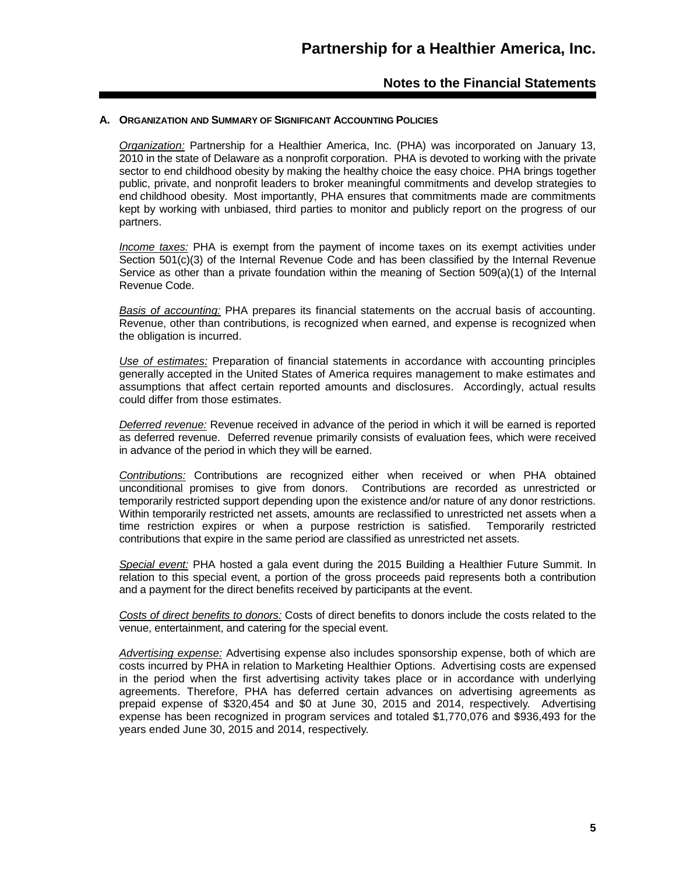#### **A. ORGANIZATION AND SUMMARY OF SIGNIFICANT ACCOUNTING POLICIES**

*Organization:* Partnership for a Healthier America, Inc. (PHA) was incorporated on January 13, 2010 in the state of Delaware as a nonprofit corporation. PHA is devoted to working with the private sector to end childhood obesity by making the healthy choice the easy choice. PHA brings together public, private, and nonprofit leaders to broker meaningful commitments and develop strategies to end childhood obesity. Most importantly, PHA ensures that commitments made are commitments kept by working with unbiased, third parties to monitor and publicly report on the progress of our partners.

*Income taxes:* PHA is exempt from the payment of income taxes on its exempt activities under Section 501(c)(3) of the Internal Revenue Code and has been classified by the Internal Revenue Service as other than a private foundation within the meaning of Section 509(a)(1) of the Internal Revenue Code.

*Basis of accounting:* PHA prepares its financial statements on the accrual basis of accounting. Revenue, other than contributions, is recognized when earned, and expense is recognized when the obligation is incurred.

*Use of estimates:* Preparation of financial statements in accordance with accounting principles generally accepted in the United States of America requires management to make estimates and assumptions that affect certain reported amounts and disclosures. Accordingly, actual results could differ from those estimates.

*Deferred revenue:* Revenue received in advance of the period in which it will be earned is reported as deferred revenue. Deferred revenue primarily consists of evaluation fees, which were received in advance of the period in which they will be earned.

*Contributions:* Contributions are recognized either when received or when PHA obtained unconditional promises to give from donors. Contributions are recorded as unrestricted or temporarily restricted support depending upon the existence and/or nature of any donor restrictions. Within temporarily restricted net assets, amounts are reclassified to unrestricted net assets when a time restriction expires or when a purpose restriction is satisfied. Temporarily restricted contributions that expire in the same period are classified as unrestricted net assets.

*Special event:* PHA hosted a gala event during the 2015 Building a Healthier Future Summit. In relation to this special event, a portion of the gross proceeds paid represents both a contribution and a payment for the direct benefits received by participants at the event.

*Costs of direct benefits to donors:* Costs of direct benefits to donors include the costs related to the venue, entertainment, and catering for the special event.

*Advertising expense:* Advertising expense also includes sponsorship expense, both of which are costs incurred by PHA in relation to Marketing Healthier Options. Advertising costs are expensed in the period when the first advertising activity takes place or in accordance with underlying agreements. Therefore, PHA has deferred certain advances on advertising agreements as prepaid expense of \$320,454 and \$0 at June 30, 2015 and 2014, respectively. Advertising expense has been recognized in program services and totaled \$1,770,076 and \$936,493 for the years ended June 30, 2015 and 2014, respectively.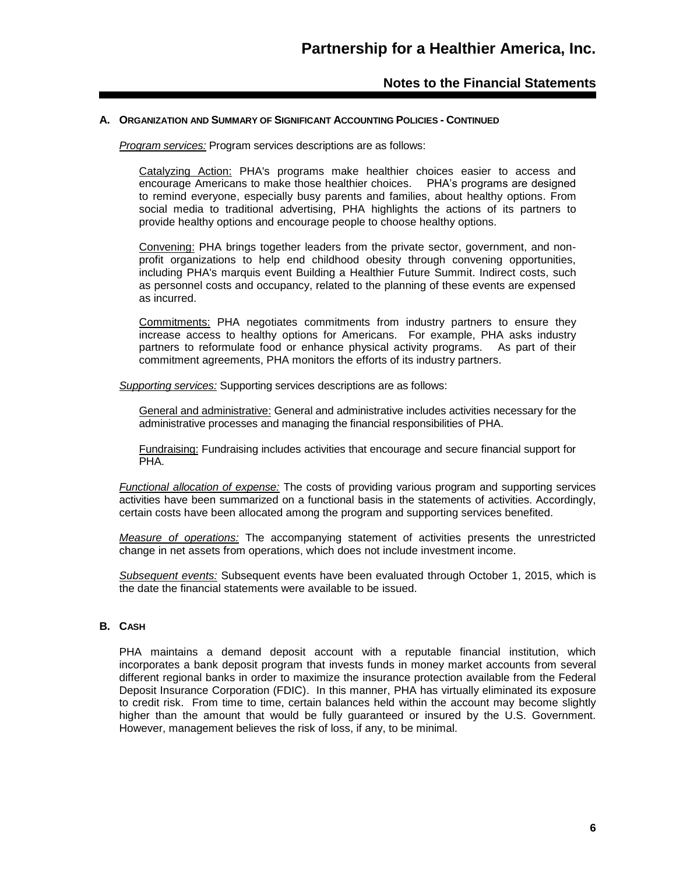### **A. ORGANIZATION AND SUMMARY OF SIGNIFICANT ACCOUNTING POLICIES - CONTINUED**

*Program services:* Program services descriptions are as follows:

Catalyzing Action: PHA's programs make healthier choices easier to access and encourage Americans to make those healthier choices. PHA's programs are designed to remind everyone, especially busy parents and families, about healthy options. From social media to traditional advertising, PHA highlights the actions of its partners to provide healthy options and encourage people to choose healthy options.

Convening: PHA brings together leaders from the private sector, government, and nonprofit organizations to help end childhood obesity through convening opportunities, including PHA's marquis event Building a Healthier Future Summit. Indirect costs, such as personnel costs and occupancy, related to the planning of these events are expensed as incurred.

Commitments: PHA negotiates commitments from industry partners to ensure they increase access to healthy options for Americans. For example, PHA asks industry partners to reformulate food or enhance physical activity programs. As part of their commitment agreements, PHA monitors the efforts of its industry partners.

*Supporting services:* Supporting services descriptions are as follows:

General and administrative: General and administrative includes activities necessary for the administrative processes and managing the financial responsibilities of PHA.

Fundraising: Fundraising includes activities that encourage and secure financial support for PHA.

*Functional allocation of expense:* The costs of providing various program and supporting services activities have been summarized on a functional basis in the statements of activities. Accordingly, certain costs have been allocated among the program and supporting services benefited.

*Measure of operations:* The accompanying statement of activities presents the unrestricted change in net assets from operations, which does not include investment income.

*Subsequent events:* Subsequent events have been evaluated through October 1, 2015, which is the date the financial statements were available to be issued.

### **B. CASH**

PHA maintains a demand deposit account with a reputable financial institution, which incorporates a bank deposit program that invests funds in money market accounts from several different regional banks in order to maximize the insurance protection available from the Federal Deposit Insurance Corporation (FDIC). In this manner, PHA has virtually eliminated its exposure to credit risk. From time to time, certain balances held within the account may become slightly higher than the amount that would be fully guaranteed or insured by the U.S. Government. However, management believes the risk of loss, if any, to be minimal.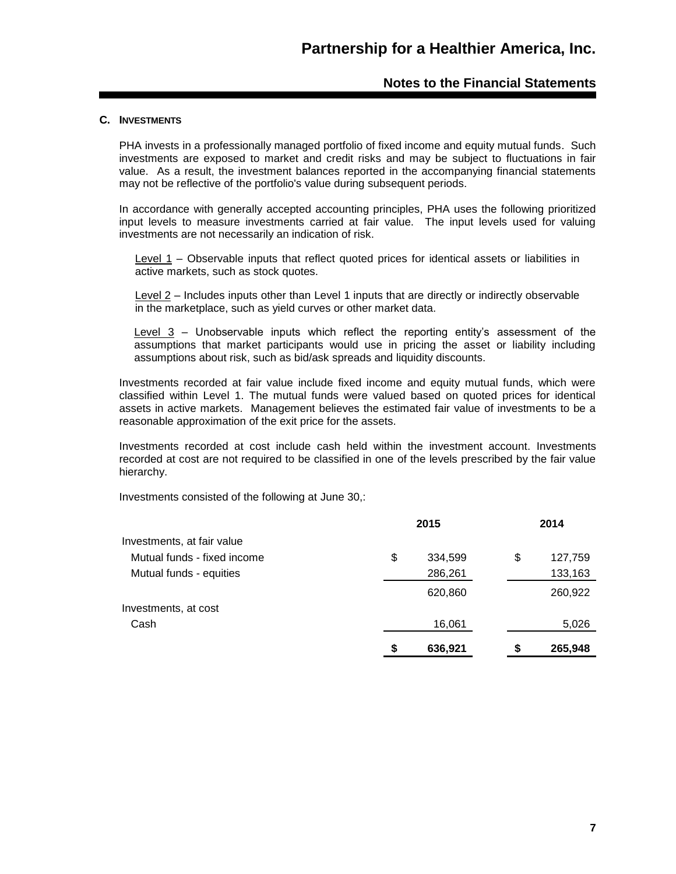#### **C. INVESTMENTS**

PHA invests in a professionally managed portfolio of fixed income and equity mutual funds. Such investments are exposed to market and credit risks and may be subject to fluctuations in fair value. As a result, the investment balances reported in the accompanying financial statements may not be reflective of the portfolio's value during subsequent periods.

In accordance with generally accepted accounting principles, PHA uses the following prioritized input levels to measure investments carried at fair value. The input levels used for valuing investments are not necessarily an indication of risk.

Level 1 – Observable inputs that reflect quoted prices for identical assets or liabilities in active markets, such as stock quotes.

Level 2 – Includes inputs other than Level 1 inputs that are directly or indirectly observable in the marketplace, such as yield curves or other market data.

Level 3 – Unobservable inputs which reflect the reporting entity's assessment of the assumptions that market participants would use in pricing the asset or liability including assumptions about risk, such as bid/ask spreads and liquidity discounts.

Investments recorded at fair value include fixed income and equity mutual funds, which were classified within Level 1. The mutual funds were valued based on quoted prices for identical assets in active markets. Management believes the estimated fair value of investments to be a reasonable approximation of the exit price for the assets.

Investments recorded at cost include cash held within the investment account. Investments recorded at cost are not required to be classified in one of the levels prescribed by the fair value hierarchy.

Investments consisted of the following at June 30,:

|                             | 2015 |         | 2014          |  |
|-----------------------------|------|---------|---------------|--|
| Investments, at fair value  |      |         |               |  |
| Mutual funds - fixed income | \$   | 334,599 | \$<br>127,759 |  |
| Mutual funds - equities     |      | 286,261 | 133,163       |  |
|                             |      | 620,860 | 260,922       |  |
| Investments, at cost        |      |         |               |  |
| Cash                        |      | 16,061  | 5,026         |  |
|                             | \$   | 636,921 | \$<br>265,948 |  |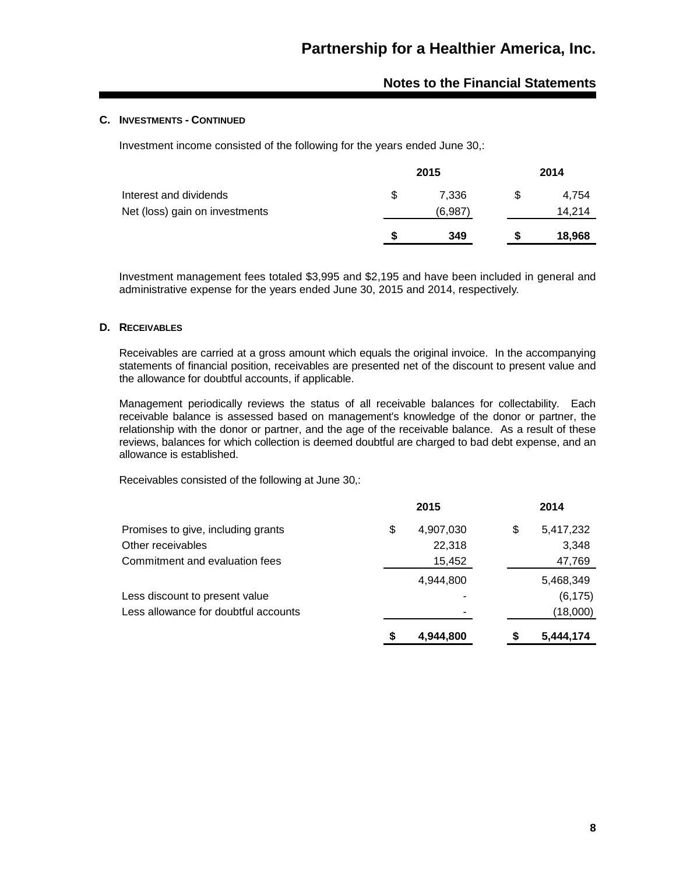## **C. INVESTMENTS - CONTINUED**

Investment income consisted of the following for the years ended June 30,:

|                                |   | 2015    | 2014   |
|--------------------------------|---|---------|--------|
| Interest and dividends         | S | 7.336   | 4.754  |
| Net (loss) gain on investments |   | (6,987) | 14,214 |
|                                |   | 349     | 18,968 |

Investment management fees totaled \$3,995 and \$2,195 and have been included in general and administrative expense for the years ended June 30, 2015 and 2014, respectively.

## **D. RECEIVABLES**

Receivables are carried at a gross amount which equals the original invoice. In the accompanying statements of financial position, receivables are presented net of the discount to present value and the allowance for doubtful accounts, if applicable.

Management periodically reviews the status of all receivable balances for collectability. Each receivable balance is assessed based on management's knowledge of the donor or partner, the relationship with the donor or partner, and the age of the receivable balance. As a result of these reviews, balances for which collection is deemed doubtful are charged to bad debt expense, and an allowance is established.

Receivables consisted of the following at June 30,:

|                                      | 2015            |    | 2014      |
|--------------------------------------|-----------------|----|-----------|
| Promises to give, including grants   | \$<br>4,907,030 | \$ | 5,417,232 |
| Other receivables                    | 22,318          |    | 3,348     |
| Commitment and evaluation fees       | 15,452          |    | 47,769    |
|                                      | 4,944,800       |    | 5,468,349 |
| Less discount to present value       |                 |    | (6, 175)  |
| Less allowance for doubtful accounts |                 |    | (18,000)  |
|                                      | \$<br>4,944,800 | S  | 5,444,174 |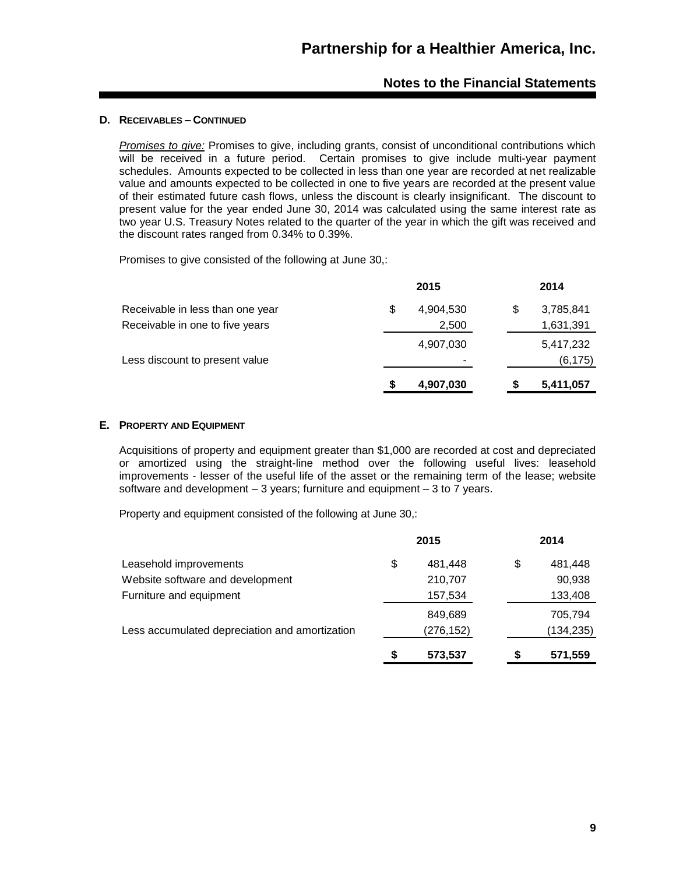### **D. RECEIVABLES – CONTINUED**

*Promises to give:* Promises to give, including grants, consist of unconditional contributions which will be received in a future period. Certain promises to give include multi-year payment schedules. Amounts expected to be collected in less than one year are recorded at net realizable value and amounts expected to be collected in one to five years are recorded at the present value of their estimated future cash flows, unless the discount is clearly insignificant. The discount to present value for the year ended June 30, 2014 was calculated using the same interest rate as two year U.S. Treasury Notes related to the quarter of the year in which the gift was received and the discount rates ranged from 0.34% to 0.39%.

Promises to give consisted of the following at June 30,:

|                                  |    | 2015      |    | 2014      |
|----------------------------------|----|-----------|----|-----------|
| Receivable in less than one year | \$ | 4,904,530 | \$ | 3,785,841 |
| Receivable in one to five years  |    | 2,500     |    | 1,631,391 |
|                                  |    | 4,907,030 |    | 5,417,232 |
| Less discount to present value   |    |           |    | (6, 175)  |
|                                  | S  | 4,907,030 | S  | 5,411,057 |

#### **E. PROPERTY AND EQUIPMENT**

Acquisitions of property and equipment greater than \$1,000 are recorded at cost and depreciated or amortized using the straight-line method over the following useful lives: leasehold improvements - lesser of the useful life of the asset or the remaining term of the lease; website software and development – 3 years; furniture and equipment – 3 to  $\overline{7}$  years.

Property and equipment consisted of the following at June 30,:

|                                                |    | 2015       | 2014          |
|------------------------------------------------|----|------------|---------------|
| Leasehold improvements                         | \$ | 481.448    | \$<br>481,448 |
| Website software and development               |    | 210,707    | 90,938        |
| Furniture and equipment                        |    | 157,534    | 133,408       |
|                                                |    | 849.689    | 705,794       |
| Less accumulated depreciation and amortization |    | (276, 152) | (134, 235)    |
|                                                | S  | 573,537    | \$<br>571,559 |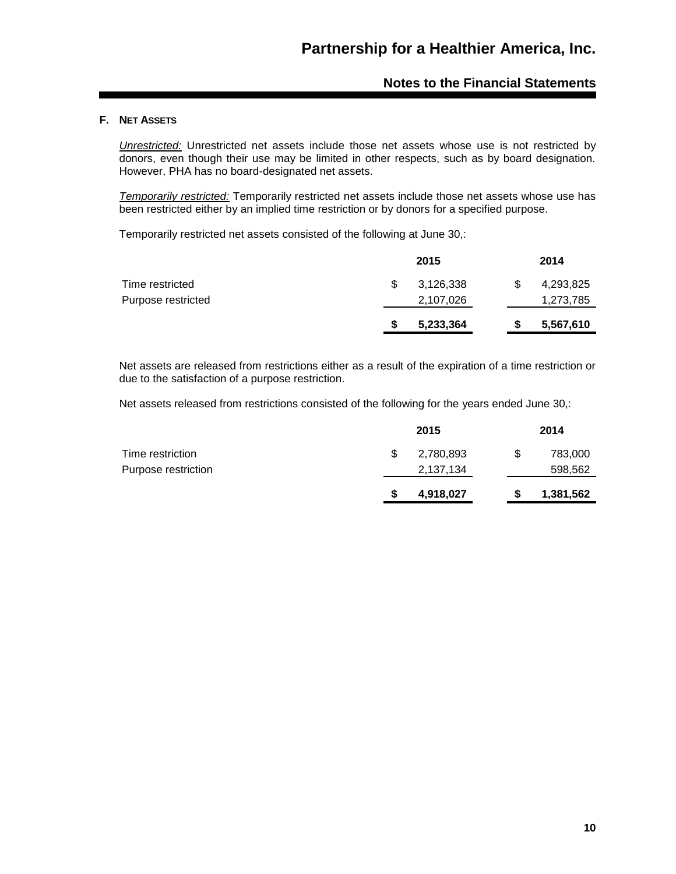### **F. NET ASSETS**

*Unrestricted:* Unrestricted net assets include those net assets whose use is not restricted by donors, even though their use may be limited in other respects, such as by board designation. However, PHA has no board-designated net assets.

*Temporarily restricted:* Temporarily restricted net assets include those net assets whose use has been restricted either by an implied time restriction or by donors for a specified purpose.

Temporarily restricted net assets consisted of the following at June 30,:

|                    | 2015      |   | 2014      |
|--------------------|-----------|---|-----------|
| Time restricted    | 3,126,338 |   | 4,293,825 |
| Purpose restricted | 2,107,026 |   | 1,273,785 |
|                    | 5,233,364 | S | 5,567,610 |

Net assets are released from restrictions either as a result of the expiration of a time restriction or due to the satisfaction of a purpose restriction.

Net assets released from restrictions consisted of the following for the years ended June 30,:

|                                         | 2015                   |   | 2014               |
|-----------------------------------------|------------------------|---|--------------------|
| Time restriction<br>Purpose restriction | 2,780,893<br>2,137,134 | S | 783,000<br>598,562 |
|                                         | 4,918,027              |   | 1,381,562          |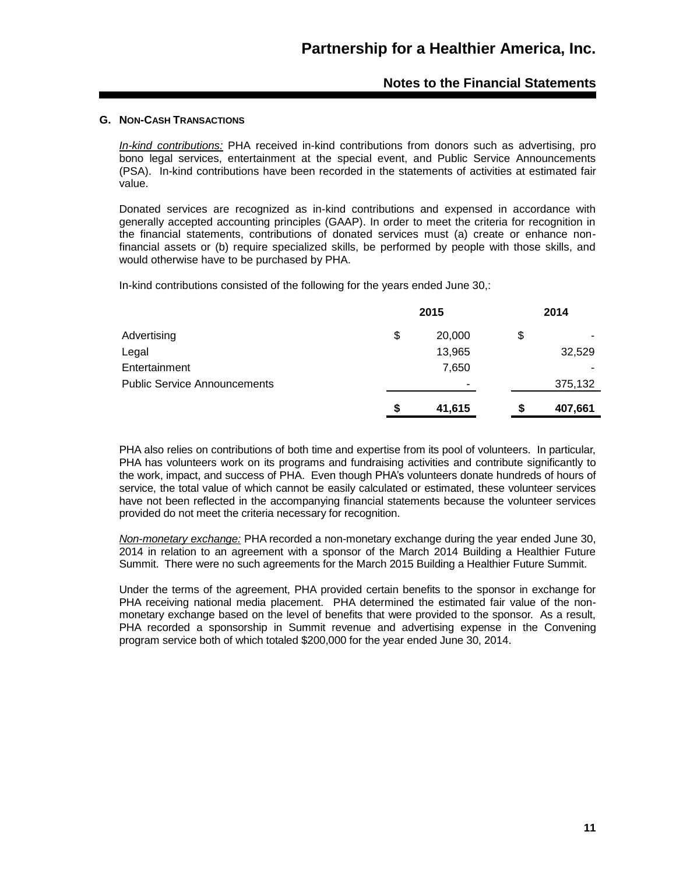#### **G. NON-CASH TRANSACTIONS**

*In-kind contributions:* PHA received in-kind contributions from donors such as advertising, pro bono legal services, entertainment at the special event, and Public Service Announcements (PSA). In-kind contributions have been recorded in the statements of activities at estimated fair value.

Donated services are recognized as in-kind contributions and expensed in accordance with generally accepted accounting principles (GAAP). In order to meet the criteria for recognition in the financial statements, contributions of donated services must (a) create or enhance nonfinancial assets or (b) require specialized skills, be performed by people with those skills, and would otherwise have to be purchased by PHA.

In-kind contributions consisted of the following for the years ended June 30,:

|                                     |    | 2015   | 2014                           |
|-------------------------------------|----|--------|--------------------------------|
| Advertising                         | \$ | 20,000 | \$<br>$\overline{\phantom{0}}$ |
| Legal                               |    | 13,965 | 32,529                         |
| Entertainment                       |    | 7,650  |                                |
| <b>Public Service Announcements</b> |    | -      | 375,132                        |
|                                     | S  | 41,615 | \$<br>407,661                  |

PHA also relies on contributions of both time and expertise from its pool of volunteers. In particular, PHA has volunteers work on its programs and fundraising activities and contribute significantly to the work, impact, and success of PHA. Even though PHA's volunteers donate hundreds of hours of service, the total value of which cannot be easily calculated or estimated, these volunteer services have not been reflected in the accompanying financial statements because the volunteer services provided do not meet the criteria necessary for recognition.

*Non-monetary exchange:* PHA recorded a non-monetary exchange during the year ended June 30, 2014 in relation to an agreement with a sponsor of the March 2014 Building a Healthier Future Summit. There were no such agreements for the March 2015 Building a Healthier Future Summit.

Under the terms of the agreement, PHA provided certain benefits to the sponsor in exchange for PHA receiving national media placement. PHA determined the estimated fair value of the nonmonetary exchange based on the level of benefits that were provided to the sponsor. As a result, PHA recorded a sponsorship in Summit revenue and advertising expense in the Convening program service both of which totaled \$200,000 for the year ended June 30, 2014.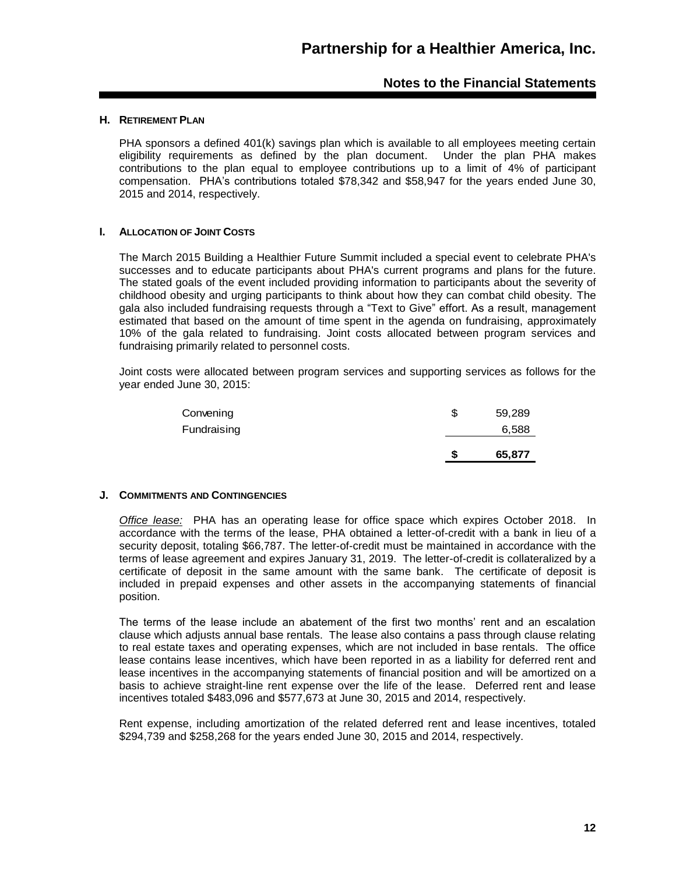### **H. RETIREMENT PLAN**

PHA sponsors a defined 401(k) savings plan which is available to all emplovees meeting certain eligibility requirements as defined by the plan document. Under the plan PHA makes contributions to the plan equal to employee contributions up to a limit of 4% of participant compensation. PHA's contributions totaled \$78,342 and \$58,947 for the years ended June 30, 2015 and 2014, respectively.

#### **I. ALLOCATION OF JOINT COSTS**

The March 2015 Building a Healthier Future Summit included a special event to celebrate PHA's successes and to educate participants about PHA's current programs and plans for the future. The stated goals of the event included providing information to participants about the severity of childhood obesity and urging participants to think about how they can combat child obesity. The gala also included fundraising requests through a "Text to Give" effort. As a result, management estimated that based on the amount of time spent in the agenda on fundraising, approximately 10% of the gala related to fundraising. Joint costs allocated between program services and fundraising primarily related to personnel costs.

Joint costs were allocated between program services and supporting services as follows for the year ended June 30, 2015:

|             |     | 65,877 |
|-------------|-----|--------|
| Fundraising |     | 6,588  |
| Convening   | \$. | 59,289 |

#### **J. COMMITMENTS AND CONTINGENCIES**

*Office lease:* PHA has an operating lease for office space which expires October 2018. In accordance with the terms of the lease, PHA obtained a letter-of-credit with a bank in lieu of a security deposit, totaling \$66,787. The letter-of-credit must be maintained in accordance with the terms of lease agreement and expires January 31, 2019. The letter-of-credit is collateralized by a certificate of deposit in the same amount with the same bank. The certificate of deposit is included in prepaid expenses and other assets in the accompanying statements of financial position.

The terms of the lease include an abatement of the first two months' rent and an escalation clause which adjusts annual base rentals. The lease also contains a pass through clause relating to real estate taxes and operating expenses, which are not included in base rentals. The office lease contains lease incentives, which have been reported in as a liability for deferred rent and lease incentives in the accompanying statements of financial position and will be amortized on a basis to achieve straight-line rent expense over the life of the lease. Deferred rent and lease incentives totaled \$483,096 and \$577,673 at June 30, 2015 and 2014, respectively.

Rent expense, including amortization of the related deferred rent and lease incentives, totaled \$294,739 and \$258,268 for the years ended June 30, 2015 and 2014, respectively.